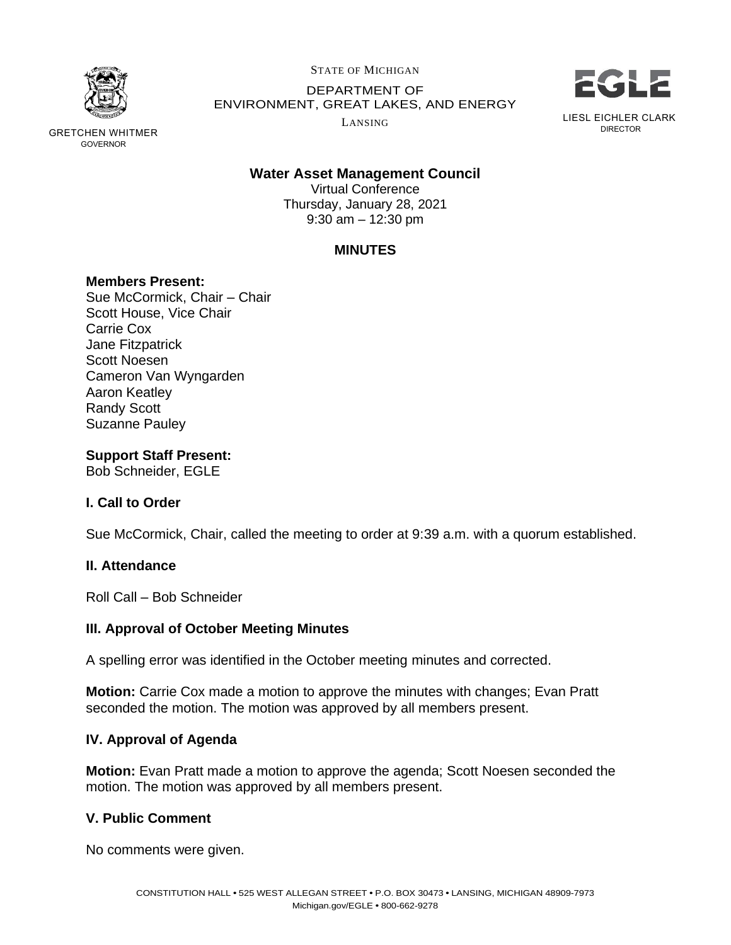

GRETCHEN WHITMER GOVERNOR

STATE OF MICHIGAN

DEPARTMENT OF ENVIRONMENT, GREAT LAKES, AND ENERGY

LANSING



# **Water Asset Management Council**

Virtual Conference Thursday, January 28, 2021 9:30 am – 12:30 pm

# **MINUTES**

## **Members Present:**

Sue McCormick, Chair – Chair Scott House, Vice Chair Carrie Cox Jane Fitzpatrick Scott Noesen Cameron Van Wyngarden Aaron Keatley Randy Scott Suzanne Pauley

## **Support Staff Present:**

Bob Schneider, EGLE

# **I. Call to Order**

Sue McCormick, Chair, called the meeting to order at 9:39 a.m. with a quorum established.

### **II. Attendance**

Roll Call – Bob Schneider

# **III. Approval of October Meeting Minutes**

A spelling error was identified in the October meeting minutes and corrected.

**Motion:** Carrie Cox made a motion to approve the minutes with changes; Evan Pratt seconded the motion. The motion was approved by all members present.

# **IV. Approval of Agenda**

**Motion:** Evan Pratt made a motion to approve the agenda; Scott Noesen seconded the motion. The motion was approved by all members present.

# **V. Public Comment**

No comments were given.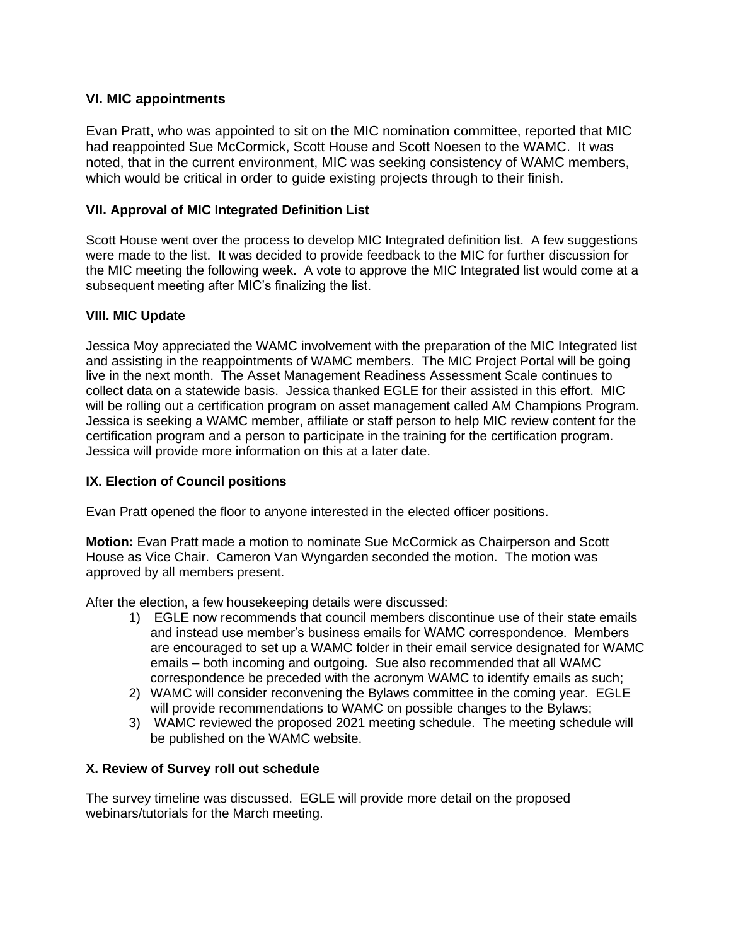# **VI. MIC appointments**

Evan Pratt, who was appointed to sit on the MIC nomination committee, reported that MIC had reappointed Sue McCormick, Scott House and Scott Noesen to the WAMC. It was noted, that in the current environment, MIC was seeking consistency of WAMC members, which would be critical in order to guide existing projects through to their finish.

## **VII. Approval of MIC Integrated Definition List**

Scott House went over the process to develop MIC Integrated definition list. A few suggestions were made to the list. It was decided to provide feedback to the MIC for further discussion for the MIC meeting the following week. A vote to approve the MIC Integrated list would come at a subsequent meeting after MIC's finalizing the list.

## **VIII. MIC Update**

Jessica Moy appreciated the WAMC involvement with the preparation of the MIC Integrated list and assisting in the reappointments of WAMC members. The MIC Project Portal will be going live in the next month. The Asset Management Readiness Assessment Scale continues to collect data on a statewide basis. Jessica thanked EGLE for their assisted in this effort. MIC will be rolling out a certification program on asset management called AM Champions Program. Jessica is seeking a WAMC member, affiliate or staff person to help MIC review content for the certification program and a person to participate in the training for the certification program. Jessica will provide more information on this at a later date.

# **IX. Election of Council positions**

Evan Pratt opened the floor to anyone interested in the elected officer positions.

**Motion:** Evan Pratt made a motion to nominate Sue McCormick as Chairperson and Scott House as Vice Chair. Cameron Van Wyngarden seconded the motion. The motion was approved by all members present.

After the election, a few housekeeping details were discussed:

- 1) EGLE now recommends that council members discontinue use of their state emails and instead use member's business emails for WAMC correspondence. Members are encouraged to set up a WAMC folder in their email service designated for WAMC emails – both incoming and outgoing. Sue also recommended that all WAMC correspondence be preceded with the acronym WAMC to identify emails as such;
- 2) WAMC will consider reconvening the Bylaws committee in the coming year. EGLE will provide recommendations to WAMC on possible changes to the Bylaws;
- 3) WAMC reviewed the proposed 2021 meeting schedule. The meeting schedule will be published on the WAMC website.

### **X. Review of Survey roll out schedule**

The survey timeline was discussed. EGLE will provide more detail on the proposed webinars/tutorials for the March meeting.